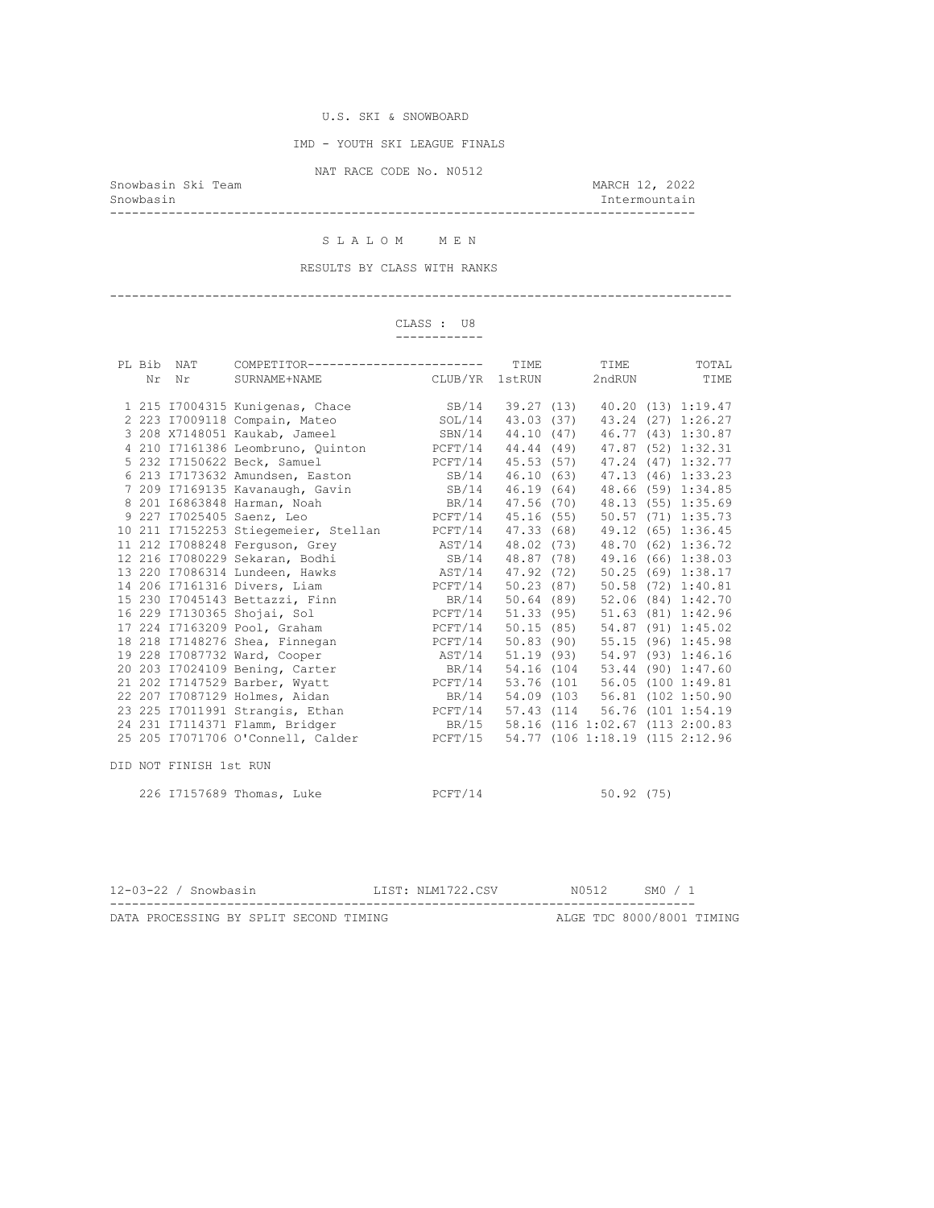IMD - YOUTH SKI LEAGUE FINALS

NAT RACE CODE No. N0512

Snowbasin Ski Team and Showbasin Ski Team and Showbasin Ski Team and MARCH 12, 2022<br>Snowbasin and March 12, 2022 --------------------------------------------------------------------------------

Intermountain

#### S L A L O M M E N

RESULTS BY CLASS WITH RANKS

#### -------------------------------------------------------------------------------------

 CLASS : U8 ------------

| PL Bib<br>Nr | <b>NAT</b><br>Nr       | COMPETITOR------------------------<br>CLUB/YR<br>SURNAME+NAME              |                                       | TIME<br>1stRUN | TIME<br>2ndRUN                | TOTAL<br>TIME      |
|--------------|------------------------|----------------------------------------------------------------------------|---------------------------------------|----------------|-------------------------------|--------------------|
|              |                        |                                                                            |                                       |                |                               |                    |
|              |                        | 1 215 I7004315 Kunigenas, Chace SB/14                                      |                                       | 39.27 (13)     |                               | 40.20 (13) 1:19.47 |
|              |                        | 2 223 I7009118 Compain, Mateo                                              | SOL/14                                | 43.03 (37)     |                               | 43.24 (27) 1:26.27 |
|              |                        | 3 208 X7148051 Kaukab, Jameel SBN/14                                       |                                       | 44.10 (47)     |                               | 46.77 (43) 1:30.87 |
|              |                        | 4 210 17161386 Leombruno, Quinton PCFT/14 44.44 (49)                       |                                       |                |                               | 47.87 (52) 1:32.31 |
|              |                        | 5 232 I7150622 Beck, Samuel                                                | PCFT/14 45.53 (57) 47.24 (47) 1:32.77 |                |                               |                    |
|              |                        | 6 213 17173632 Amundsen, Easton SB/14 46.10 (63)                           |                                       |                |                               | 47.13 (46) 1:33.23 |
|              |                        | 7 209 I7169135 Kavanaugh, Gavin                                            | SB/14 46.19 (64)                      |                |                               | 48.66 (59) 1:34.85 |
|              |                        | BR/14 47.56 (70)<br>8 201 16863848 Harman, Noah                            |                                       |                |                               | 48.13 (55) 1:35.69 |
|              |                        | 9 227 I7025405 Saenz, Leo $PCFT/14$ 45.16 (55)                             |                                       |                |                               | 50.57 (71) 1:35.73 |
|              |                        | 10 211 I7152253 Stiegemeier, Stellan PCFT/14 47.33 (68) 49.12 (65) 1:36.45 |                                       |                |                               |                    |
|              |                        |                                                                            | AST/14 48.02 (73)                     |                |                               | 48.70 (62) 1:36.72 |
|              |                        | 11 212 17088248 Ferguson, Grey<br>12 216 17080229 Sekaran, Bodhi           | SB/14 48.87 (78)                      |                |                               | 49.16 (66) 1:38.03 |
|              |                        | 13 220 17086314 Lundeen, Hawks Mass AST/14 47.92 (72)                      |                                       |                |                               | 50.25 (69) 1:38.17 |
|              |                        | 14 206 17161316 Divers, Liam RCFT/14 50.23 (87)                            |                                       |                |                               | 50.58 (72) 1:40.81 |
|              |                        | 15 230 17045143 Bettazzi, Finn BR/14 50.64 (89) 52.06 (84) 1:42.70         |                                       |                |                               |                    |
|              |                        | 16 229 17130365 Shojai, Sol PCFT/14 51.33 (95) 51.63 (81) 1:42.96          |                                       |                |                               |                    |
|              |                        | 17 224 I7163209 Pool, Graham                                               | PCFT/14 50.15 (85) 54.87 (91) 1:45.02 |                |                               |                    |
|              |                        | 18 218 17148276 Shea, Finnegan PCFT/14 50.83 (90) 55.15 (96) 1:45.98       |                                       |                |                               |                    |
|              |                        | 19 228 I7087732 Ward, Cooper<br>AST/14                                     |                                       |                | 51.19 (93) 54.97 (93) 1:46.16 |                    |
|              |                        | 20 203 I7024109 Bening, Carter BR/14 54.16 (104 53.44 (90) 1:47.60         |                                       |                |                               |                    |
|              |                        | 21 202 17147529 Barber, Wyatt PCFT/14 53.76 (101 56.05 (100 1:49.81)       |                                       |                |                               |                    |
|              |                        | 22 207 I7087129 Holmes, Aidan                                              | BR/14 54.09 (103 56.81 (102 1:50.90   |                |                               |                    |
|              |                        | 23 225 17011991 Strangis, Ethan PCFT/14 57.43 (114 56.76 (101 1:54.19      |                                       |                |                               |                    |
|              |                        | 24 231 I7114371 Flamm, Bridger BR/15 58.16 (116 1:02.67 (113 2:00.83)      |                                       |                |                               |                    |
|              |                        | 25 205 I7071706 O'Connell, Calder PCFT/15 54.77 (106 1:18.19 (115 2:12.96  |                                       |                |                               |                    |
|              | DID NOT FINISH 1st RUN |                                                                            |                                       |                |                               |                    |
|              |                        | 226 17157689 Thomas, Luke                                                  | PCFT/14                               |                | 50.92(75)                     |                    |
|              |                        |                                                                            |                                       |                |                               |                    |

| 12-03-22 / Snowbasin                   |  |  | LIST: NLM1722.CSV | N0512 | SM0 / 1                   |  |
|----------------------------------------|--|--|-------------------|-------|---------------------------|--|
|                                        |  |  |                   |       |                           |  |
| DATA PROCESSING BY SPLIT SECOND TIMING |  |  |                   |       | ALGE TDC 8000/8001 TIMING |  |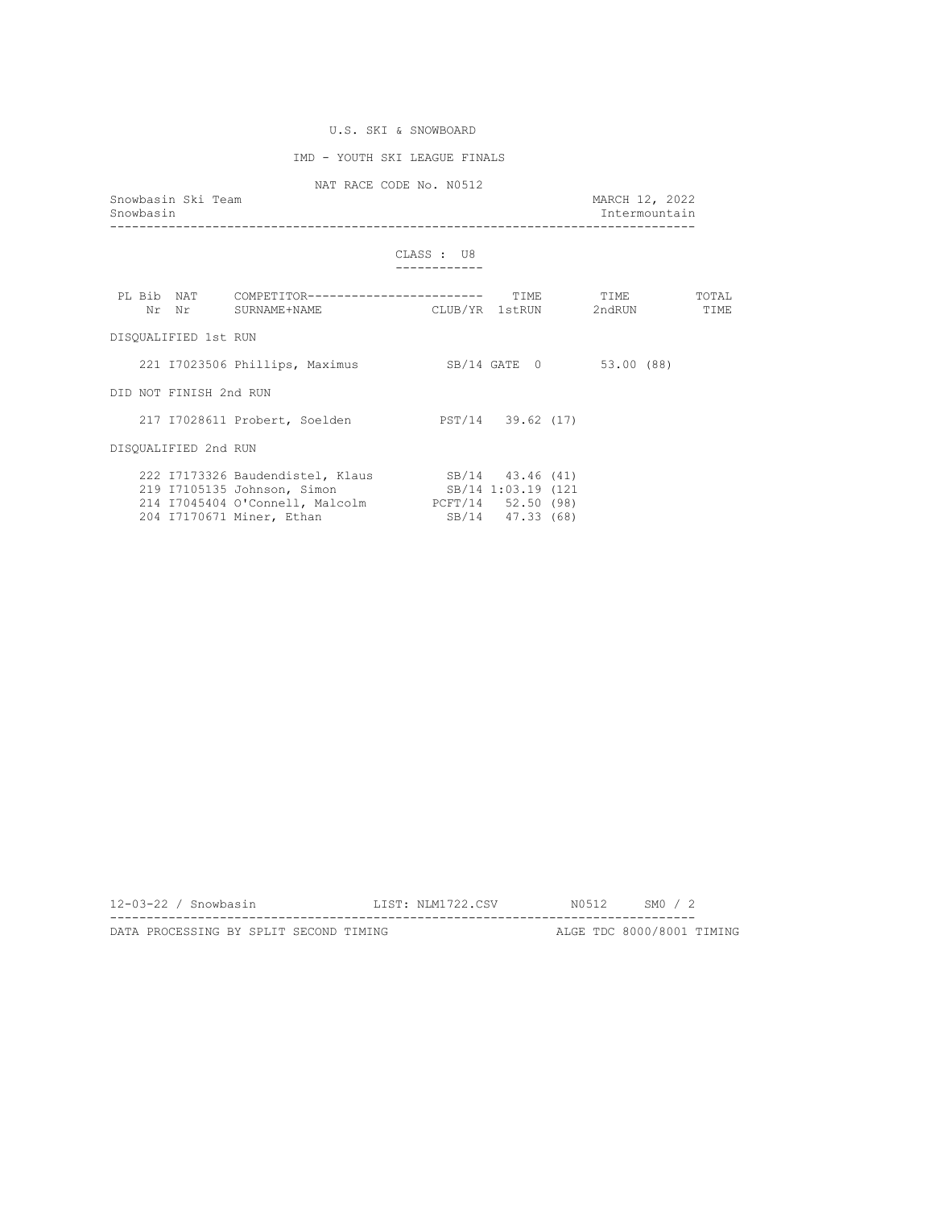## IMD - YOUTH SKI LEAGUE FINALS

NAT RACE CODE No. N0512<br>Snowbasin Ski Team

| Snowbasin | Snowbasin Ski Team     | MARCH 12, 2022                                                                                                                                                                          | Intermountain           |  |           |  |               |
|-----------|------------------------|-----------------------------------------------------------------------------------------------------------------------------------------------------------------------------------------|-------------------------|--|-----------|--|---------------|
|           |                        |                                                                                                                                                                                         | CLASS : U8              |  |           |  |               |
|           |                        |                                                                                                                                                                                         |                         |  | TIME TIME |  | TOTAL<br>TIME |
|           | DISOUALIFIED 1st RUN   |                                                                                                                                                                                         |                         |  |           |  |               |
|           |                        | 221 I7023506 Phillips, Maximus                                                                                                                                                          | SB/14 GATE 0 53.00 (88) |  |           |  |               |
|           | DID NOT FINISH 2nd RUN |                                                                                                                                                                                         |                         |  |           |  |               |
|           |                        | 217 I7028611 Probert, Soelden                                                                                                                                                           | PST/14 39.62 (17)       |  |           |  |               |
|           | DISOUALIFIED 2nd RUN   |                                                                                                                                                                                         |                         |  |           |  |               |
|           |                        | 222 I7173326 Baudendistel, Klaus SB/14 43.46 (41)<br>219 I7105135 Johnson, Simon SB/14 1:03.19 (121)<br>214 I7045404 O'Connell, Malcolm PCFT/14 52.50 (98)<br>204 I7170671 Miner, Ethan | SB/14 47.33 (68)        |  |           |  |               |

| 12-03-22 / Snowbasin |                                        |  |  |  | LIST: NLM1722.CSV | N0512 | SMO / 2                   |  |
|----------------------|----------------------------------------|--|--|--|-------------------|-------|---------------------------|--|
|                      |                                        |  |  |  |                   |       |                           |  |
|                      | DATA PROCESSING BY SPLIT SECOND TIMING |  |  |  |                   |       | ALGE TDC 8000/8001 TIMING |  |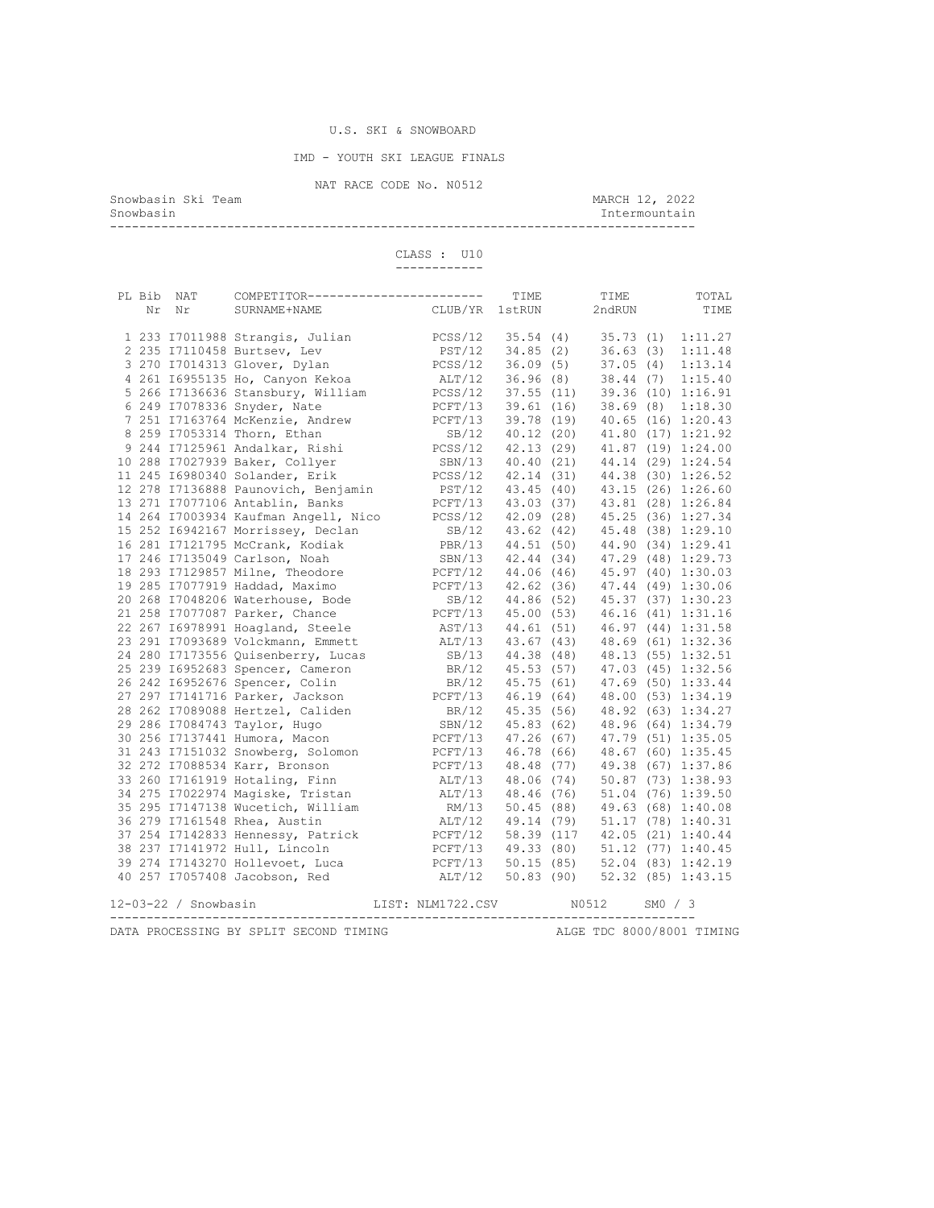IMD - YOUTH SKI LEAGUE FINALS

NAT RACE CODE No. N0512<br>Snowbasin Ski Team

Snowbasin Ski Team March 12, 2022 Snowbasin Intermountain

--------------------------------------------------------------------------------

 CLASS : U10 ------------

|  | PL Bib NAT           | COMPETITOR------------------------                                                                                                                                                |                                                                                                                                                                                                     | TIME   | TIME                |         | TOTAL                        |
|--|----------------------|-----------------------------------------------------------------------------------------------------------------------------------------------------------------------------------|-----------------------------------------------------------------------------------------------------------------------------------------------------------------------------------------------------|--------|---------------------|---------|------------------------------|
|  | Nr Nr                | SURNAME+NAME                                                                                                                                                                      | CLUB/YR                                                                                                                                                                                             | 1stRUN | 2ndRUN              |         | TIME                         |
|  |                      |                                                                                                                                                                                   |                                                                                                                                                                                                     |        |                     |         |                              |
|  |                      | 1 233 I7011988 Strangis, Julian                                                                                                                                                   | PCSS/12                                                                                                                                                                                             |        | 35.54 (4) 35.73 (1) |         | 1:11.27                      |
|  |                      | 2 235 17110458 Burtsev, Lev                                                                                                                                                       | PST/12 34.85 (2) 36.63 (3)                                                                                                                                                                          |        |                     |         | 1:11.48                      |
|  |                      | 3 270 17014313 Glover, Dylan                                                                                                                                                      | PCSS/12 36.09 (5) 37.05 (4) 1:13.14<br>ALT/12 36.96 (8) 38.44 (7) 1:15.40                                                                                                                           |        |                     |         |                              |
|  |                      | 4 261 16955135 Ho, Canyon Kekoa                                                                                                                                                   |                                                                                                                                                                                                     |        |                     |         |                              |
|  |                      | 5 266 17136636 Stansbury, William PCSS/12 37.55 (11) 39.36 (10) 1:16.91                                                                                                           |                                                                                                                                                                                                     |        |                     |         |                              |
|  |                      | 6 249 I7078336 Snyder, Nate                                                                                                                                                       | PCFT/13                                                                                                                                                                                             |        |                     |         | 39.61 (16) 38.69 (8) 1:18.30 |
|  |                      | 7 251 I7163764 McKenzie, Andrew                                                                                                                                                   | $PCFT/13$ 39.78 (19) 40.65 (16) 1:20.43                                                                                                                                                             |        |                     |         |                              |
|  |                      | 8 259 17053314 Thorn, Ethan                                                                                                                                                       |                                                                                                                                                                                                     |        |                     |         |                              |
|  |                      | 9 244 I7125961 Andalkar, Rishi                                                                                                                                                    | SB/12 40.12 (20) 41.80 (17) 1:21.92<br>PCSS/12 42.13 (29) 41.87 (19) 1:24.00                                                                                                                        |        |                     |         |                              |
|  |                      | 10 288 I7027939 Baker, Collyer                                                                                                                                                    | SBN/13 40.40 (21) 44.14 (29) 1:24.54                                                                                                                                                                |        |                     |         |                              |
|  |                      |                                                                                                                                                                                   |                                                                                                                                                                                                     |        |                     |         |                              |
|  |                      | 11 245 16980340 Solander, Erik<br>12 278 17136888 Paunovich, Benjamin                                                                                                             | PCSS/12 42.14 (31) 44.38 (30) 1:26.52<br>PST/12 43.45 (40) 43.15 (26) 1:26.60                                                                                                                       |        |                     |         |                              |
|  |                      | 13 271 I7077106 Antablin, Banks                                                                                                                                                   | PCFT/13 43.03 (37) 43.81 (28) 1:26.84                                                                                                                                                               |        |                     |         |                              |
|  |                      |                                                                                                                                                                                   |                                                                                                                                                                                                     |        |                     |         |                              |
|  |                      | 14 264 17003934 Kaufman Angell, Nico<br>15 252 16942167 Morrissey, Declan<br>15 252 16942167 Morrissey, Declan<br>18/12 43.62 (42) 45.48 (38) 1:29.10                             |                                                                                                                                                                                                     |        |                     |         |                              |
|  |                      | 16 281 I7121795 McCrank, Kodiak                                                                                                                                                   |                                                                                                                                                                                                     |        |                     |         |                              |
|  |                      | 17 246 I7135049 Carlson, Noah                                                                                                                                                     | PBR/13 44.51 (50) 44.90 (34) 1:29.41<br>SBN/13 42.44 (34) 47.29 (48) 1:29.73                                                                                                                        |        |                     |         |                              |
|  |                      | 18 293 I7129857 Milne, Theodore <b>DETRAINERY 1999</b> 2014 15.97 (40) 1:30.03                                                                                                    |                                                                                                                                                                                                     |        |                     |         |                              |
|  |                      | 19 285 I7077919 Haddad, Maximo                                                                                                                                                    |                                                                                                                                                                                                     |        |                     |         |                              |
|  |                      | 20 268 I7048206 Waterhouse, Bode                                                                                                                                                  | PCFT/13 42.62 (36) 47.44 (49) 1:30.06<br>SB/12 44.86 (52) 45.37 (37) 1:30.23                                                                                                                        |        |                     |         |                              |
|  |                      | 21 258 I7077087 Parker, Chance                                                                                                                                                    | PCFT/13 45.00 (53) 46.16 (41) 1:31.16                                                                                                                                                               |        |                     |         |                              |
|  |                      | 22 267 16978991 Hoagland, Steele                                                                                                                                                  |                                                                                                                                                                                                     |        |                     |         |                              |
|  |                      | 23 291 I7093689 Volckmann, Emmett                                                                                                                                                 | AST/13 44.61 (51) 46.97 (44) 1:31.58<br>ALT/13 43.67 (43) 48.69 (61) 1:32.36                                                                                                                        |        |                     |         |                              |
|  |                      | 24 280 I7173556 Quisenberry, Lucas                                                                                                                                                |                                                                                                                                                                                                     |        |                     |         |                              |
|  |                      | 25 239 16952683 Spencer, Cameron                                                                                                                                                  | SB/13 44.38 (48) 48.13 (55) 1:32.51<br>BR/12 45.53 (57) 47.03 (45) 1:32.56                                                                                                                          |        |                     |         |                              |
|  |                      |                                                                                                                                                                                   | BR/12 45.35 (51) 47.69 (50) 1:33.44<br>PCFT/13 46.19 (64) 48.00 (53) 1:34.19<br>BR/12 45.35 (56) 48.92 (63) 1:34.27<br>SBN/12 45.83 (62) 48.96 (64) 1:34.27<br>SBN/12 45.83 (62) 48.96 (64) 1:34.79 |        |                     |         |                              |
|  |                      | 26 242 16952676 Spencer, Colin                                                                                                                                                    |                                                                                                                                                                                                     |        |                     |         |                              |
|  |                      | 27 297 I7141716 Parker, Jackson                                                                                                                                                   |                                                                                                                                                                                                     |        |                     |         |                              |
|  |                      |                                                                                                                                                                                   |                                                                                                                                                                                                     |        |                     |         |                              |
|  |                      |                                                                                                                                                                                   |                                                                                                                                                                                                     |        |                     |         |                              |
|  |                      | 30 256 I7137441 Humora, Macon<br>30 256 17137441 Humora, Macon (Refr/13 47.26 (67) 47.79 (51) 1:35.05<br>31 243 17151032 Snowberg, Solomon (Refr/13 46.78 (66) 48.67 (60) 1:35.45 |                                                                                                                                                                                                     |        |                     |         |                              |
|  |                      |                                                                                                                                                                                   |                                                                                                                                                                                                     |        |                     |         |                              |
|  |                      | 32 272 I7088534 Karr, Bronson                                                                                                                                                     | PCFT/13 48.48 (77) 49.38 (67) 1:37.86                                                                                                                                                               |        |                     |         |                              |
|  |                      | 33 260 I7161919 Hotaling, Finn                                                                                                                                                    | ALT/13 48.06 (74) 50.87 (73) 1:38.93                                                                                                                                                                |        |                     |         |                              |
|  |                      | 34 275 I7022974 Magiske, Tristan                                                                                                                                                  | ALT/13 48.46 (76) 51.04 (76) 1:39.50                                                                                                                                                                |        |                     |         |                              |
|  |                      | 35 295 I7147138 Wucetich, William                                                                                                                                                 | RM/13 50.45 (88) 49.63 (68) 1:40.08<br>ALT/12 49.14 (79) 51.17 (78) 1:40.31                                                                                                                         |        |                     |         |                              |
|  |                      | 36 279 I7161548 Rhea, Austin                                                                                                                                                      |                                                                                                                                                                                                     |        |                     |         |                              |
|  |                      | 37 254 I7142833 Hennessy, Patrick PCFT/12 58.39 (117 42.05 (21) 1:40.44                                                                                                           |                                                                                                                                                                                                     |        |                     |         |                              |
|  |                      | 39 274 17143270 Hull, Lincoln<br>39 274 17143270 Hollevoet, Luca<br>40 257 17057408 Jacobs                                                                                        | PCFT/13 49.33 (80) 51.12 (77) 1:40.45<br>PCFT/13 50.15 (85) 52.04 (83) 1:42.19                                                                                                                      |        |                     |         |                              |
|  |                      |                                                                                                                                                                                   |                                                                                                                                                                                                     |        |                     |         |                              |
|  |                      | 40 257 I7057408 Jacobson, Red                                                                                                                                                     | ALT/12 50.83 (90) 52.32 (85) 1:43.15                                                                                                                                                                |        |                     |         |                              |
|  |                      |                                                                                                                                                                                   |                                                                                                                                                                                                     |        |                     |         |                              |
|  | 12-03-22 / Snowbasin | LIST: NLM1722.CSV N0512                                                                                                                                                           |                                                                                                                                                                                                     |        |                     | SM0 / 3 |                              |
|  |                      |                                                                                                                                                                                   |                                                                                                                                                                                                     |        |                     |         |                              |

DATA PROCESSING BY SPLIT SECOND TIMING **ALGE TDC 8000/8001 TIMING**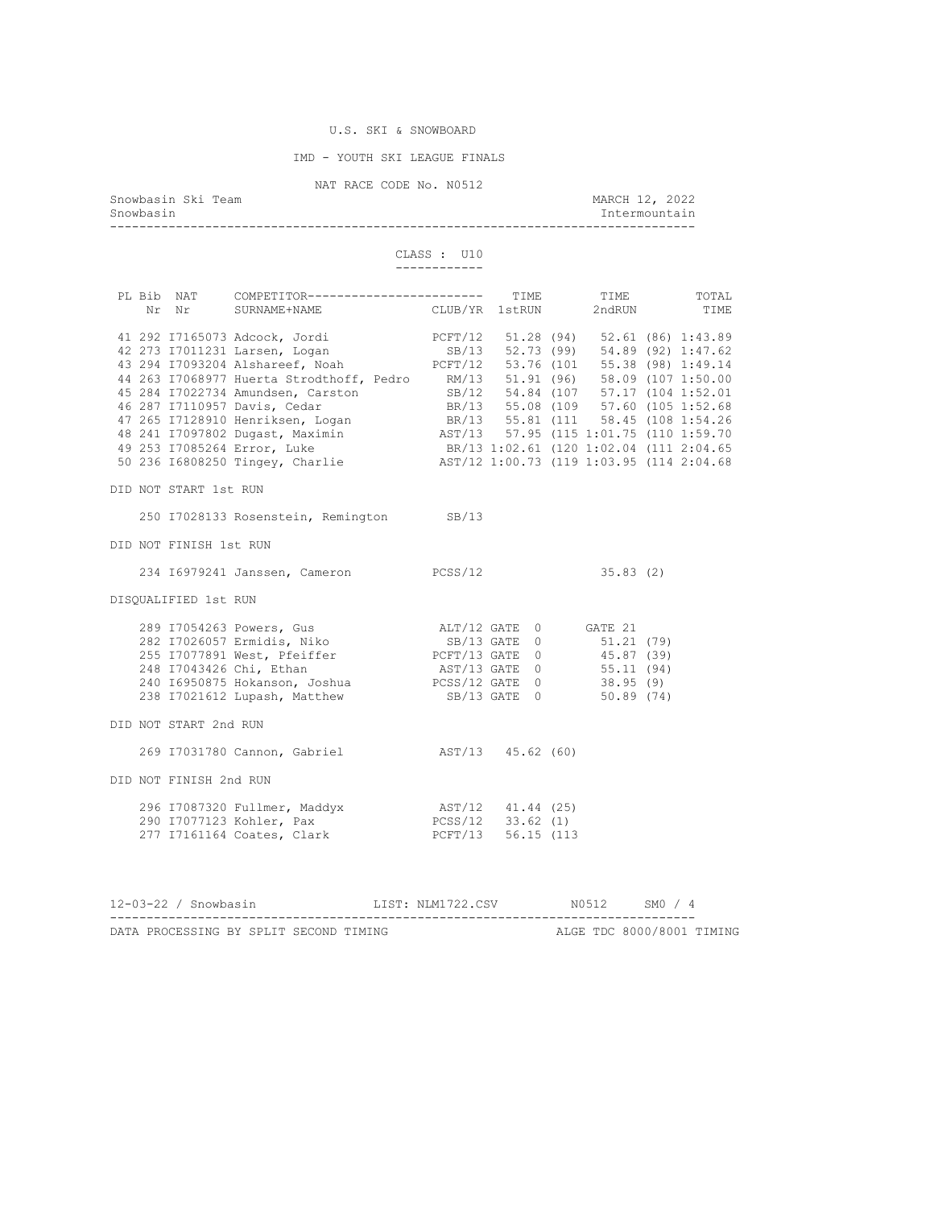IMD - YOUTH SKI LEAGUE FINALS

| Snowbasin | Snowbasin Ski Team     |                                                                                                                                                                                                                                            | NAT RACE CODE No. N0512     |  | MARCH 12, 2022<br>Intermountain |  |
|-----------|------------------------|--------------------------------------------------------------------------------------------------------------------------------------------------------------------------------------------------------------------------------------------|-----------------------------|--|---------------------------------|--|
|           |                        |                                                                                                                                                                                                                                            | CLASS : U10<br>------------ |  |                                 |  |
|           |                        | PL Bib NAT COMPETITOR------------------------ TIME                                                                                                                                                                                         |                             |  |                                 |  |
|           |                        | Bib NAT COMPETITOR------------------------ TIME TIME TOTAL Nr Nr SURNAME+NAME CLUB/YR 1stRUN 2ndRUN TIME                                                                                                                                   |                             |  |                                 |  |
|           |                        | 41 292 17165073 Adcock, Jordi<br>42 273 17011231 Larsen, Logan<br>43 294 17093204 Alshareef, Noah<br>43 294 17093204 Alshareef, Noah<br>43 294 17093204 Alshareef, Noah<br>2011 2021 203 1891 203204 Alshareef, Noah<br>2021 203204 Alshar |                             |  |                                 |  |
|           |                        |                                                                                                                                                                                                                                            |                             |  |                                 |  |
|           |                        |                                                                                                                                                                                                                                            |                             |  |                                 |  |
|           |                        |                                                                                                                                                                                                                                            |                             |  |                                 |  |
|           |                        |                                                                                                                                                                                                                                            |                             |  |                                 |  |
|           |                        |                                                                                                                                                                                                                                            |                             |  |                                 |  |
|           |                        |                                                                                                                                                                                                                                            |                             |  |                                 |  |
|           |                        |                                                                                                                                                                                                                                            |                             |  |                                 |  |
|           |                        |                                                                                                                                                                                                                                            |                             |  |                                 |  |
|           |                        | 44 263 17068977 Huerta Strodthoff, Pedro RM/13 51.91 (96) 58.09 (107 1:50.00<br>45 284 17022734 Amundsen, Carston SB/12 54.84 (107 57.17 (104 1:52.01<br>46 287 17110957 Davis, Cedar BR/13 55.08 (109 57.60 (105 1:52.68<br>47 265 171    |                             |  |                                 |  |
|           | DID NOT START 1st RUN  |                                                                                                                                                                                                                                            |                             |  |                                 |  |
|           |                        | 250 I7028133 Rosenstein, Remington SB/13                                                                                                                                                                                                   |                             |  |                                 |  |
|           | DID NOT FINISH 1st RUN |                                                                                                                                                                                                                                            |                             |  |                                 |  |
|           |                        | 234 I6979241 Janssen, Cameron PCSS/12                                                                                                                                                                                                      |                             |  | 35.83(2)                        |  |
|           | DISQUALIFIED 1st RUN   |                                                                                                                                                                                                                                            |                             |  |                                 |  |
|           |                        |                                                                                                                                                                                                                                            |                             |  |                                 |  |
|           |                        |                                                                                                                                                                                                                                            |                             |  |                                 |  |
|           |                        |                                                                                                                                                                                                                                            |                             |  |                                 |  |
|           |                        |                                                                                                                                                                                                                                            |                             |  |                                 |  |
|           |                        |                                                                                                                                                                                                                                            |                             |  |                                 |  |
|           |                        |                                                                                                                                                                                                                                            |                             |  |                                 |  |
|           | DID NOT START 2nd RUN  |                                                                                                                                                                                                                                            |                             |  |                                 |  |
|           |                        | 269 I7031780 Cannon, Gabriel (812) AST/13 45.62 (60)                                                                                                                                                                                       |                             |  |                                 |  |
|           | DID NOT FINISH 2nd RUN |                                                                                                                                                                                                                                            |                             |  |                                 |  |
|           |                        | 296 I7087320 Fullmer, Maddyx 19712 41.44 (25)<br>290 I7077123 Kohler, Pax 1988 PCSS/12 33.62 (1)<br>277 I7161164 Coates, Clark 1989 PCFT/13 56.15 (113                                                                                     |                             |  |                                 |  |
|           |                        |                                                                                                                                                                                                                                            |                             |  |                                 |  |
|           |                        |                                                                                                                                                                                                                                            |                             |  |                                 |  |
|           |                        | 12-03-22 / Snowbasin MIST: NLM1722.CSV N0512 SM0 / 4                                                                                                                                                                                       |                             |  |                                 |  |
|           |                        |                                                                                                                                                                                                                                            |                             |  |                                 |  |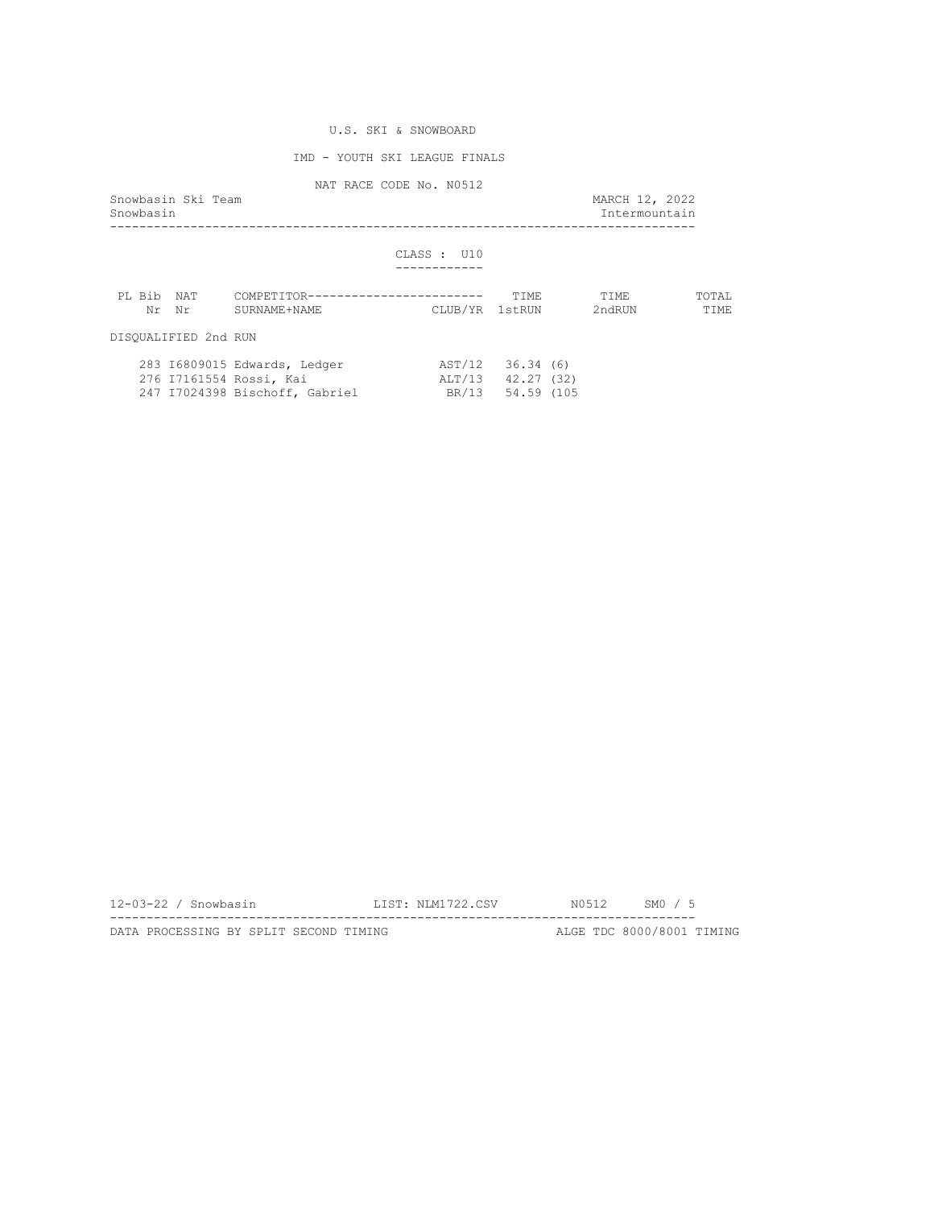## IMD - YOUTH SKI LEAGUE FINALS

NAT RACE CODE No. N0512

| Snowbasin Ski Team<br>Snowbasin |                      |                                                                                           |                |                                                           | MARCH 12, 2022<br>Intermountain |                      |
|---------------------------------|----------------------|-------------------------------------------------------------------------------------------|----------------|-----------------------------------------------------------|---------------------------------|----------------------|
|                                 |                      |                                                                                           | CLASS: U10     |                                                           |                                 |                      |
|                                 | PL Bib NAT<br>Nr Nr  | COMPETITOR------------------------<br>SURNAME+NAME                                        | CLUB/YR 1stRUN | TTMF.                                                     | TTMF.<br>2ndRUN                 | TOTAL<br><b>TTME</b> |
|                                 | DISOUALIFIED 2nd RUN |                                                                                           |                |                                                           |                                 |                      |
|                                 |                      | 283 I6809015 Edwards, Ledger<br>276 I7161554 Rossi, Kai<br>247 I7024398 Bischoff, Gabriel |                | AST/12 36.34 (6)<br>ALT/13 42.27 (32)<br>BR/13 54.59 (105 |                                 |                      |

| $12-03-22$ / Snowbasin                 |  |  | LIST: NLM1722.CSV |  | N0512 SM0 / 5             |  |
|----------------------------------------|--|--|-------------------|--|---------------------------|--|
|                                        |  |  |                   |  |                           |  |
| DATA PROCESSING BY SPLIT SECOND TIMING |  |  |                   |  | ALGE TDC 8000/8001 TIMING |  |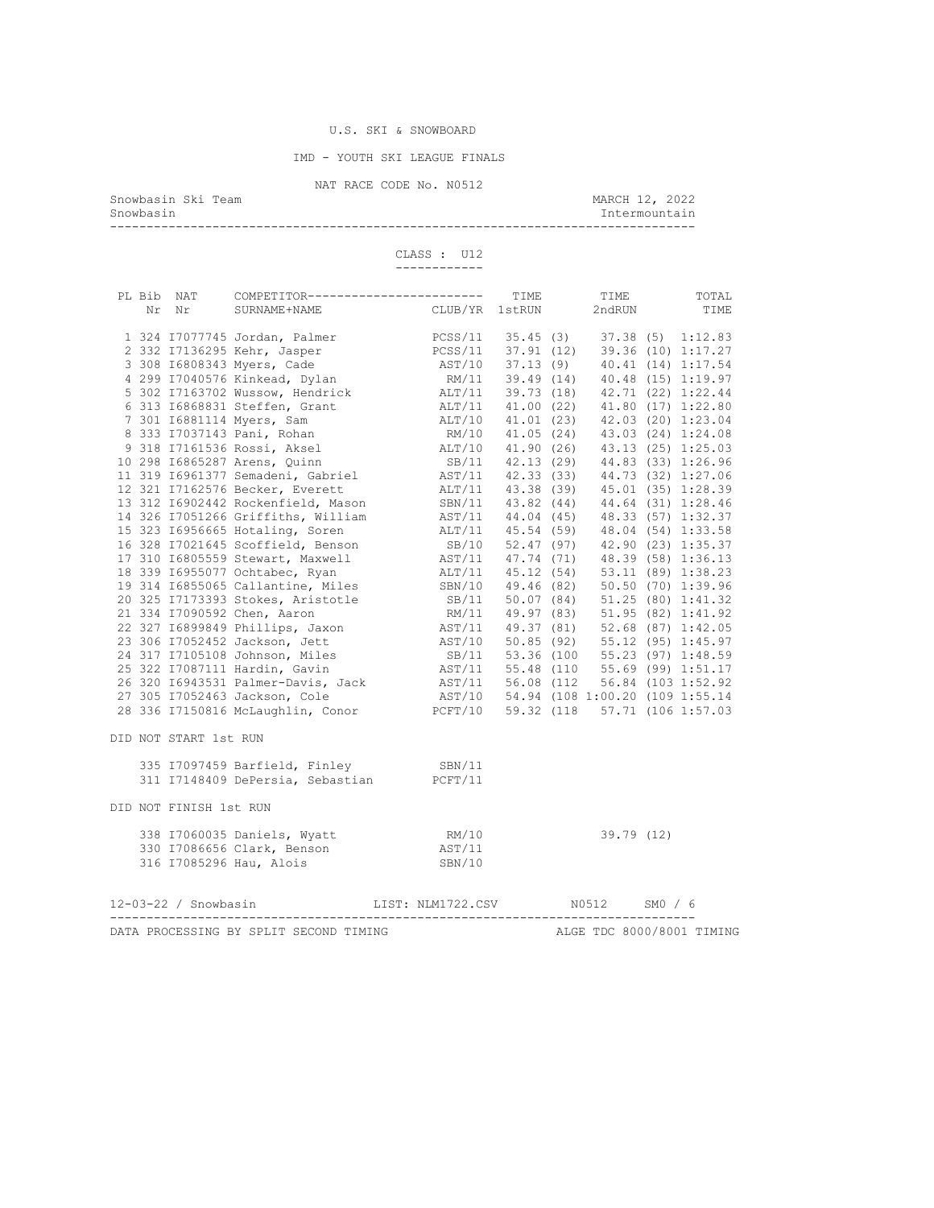IMD - YOUTH SKI LEAGUE FINALS

NAT RACE CODE No. N0512<br>Snowbasin Ski Team Snowbasin Ski Team March 12, 2022 Snowbasin Intermountain --------------------------------------------------------------------------------

 CLASS : U12 ------------

|  |                        |                                                                                      |  |  | TIME TIME | TOTAL                     |
|--|------------------------|--------------------------------------------------------------------------------------|--|--|-----------|---------------------------|
|  |                        |                                                                                      |  |  |           |                           |
|  |                        |                                                                                      |  |  |           |                           |
|  |                        |                                                                                      |  |  |           |                           |
|  |                        |                                                                                      |  |  |           |                           |
|  |                        |                                                                                      |  |  |           |                           |
|  |                        |                                                                                      |  |  |           |                           |
|  |                        |                                                                                      |  |  |           |                           |
|  |                        |                                                                                      |  |  |           |                           |
|  |                        |                                                                                      |  |  |           |                           |
|  |                        |                                                                                      |  |  |           |                           |
|  |                        |                                                                                      |  |  |           |                           |
|  |                        |                                                                                      |  |  |           |                           |
|  |                        |                                                                                      |  |  |           |                           |
|  |                        |                                                                                      |  |  |           |                           |
|  |                        |                                                                                      |  |  |           |                           |
|  |                        |                                                                                      |  |  |           |                           |
|  |                        |                                                                                      |  |  |           |                           |
|  |                        |                                                                                      |  |  |           |                           |
|  |                        |                                                                                      |  |  |           |                           |
|  |                        |                                                                                      |  |  |           |                           |
|  |                        |                                                                                      |  |  |           |                           |
|  |                        |                                                                                      |  |  |           |                           |
|  |                        |                                                                                      |  |  |           |                           |
|  |                        |                                                                                      |  |  |           |                           |
|  |                        |                                                                                      |  |  |           |                           |
|  |                        |                                                                                      |  |  |           |                           |
|  |                        |                                                                                      |  |  |           |                           |
|  |                        |                                                                                      |  |  |           |                           |
|  |                        |                                                                                      |  |  |           |                           |
|  | DID NOT START 1st RUN  |                                                                                      |  |  |           |                           |
|  |                        | 335 I7097459 Barfield, Finley (SBN/11)<br>311 I7148409 DePersia, Sebastian (PCFT/11) |  |  |           |                           |
|  |                        |                                                                                      |  |  |           |                           |
|  | DID NOT FINISH 1st RUN |                                                                                      |  |  |           |                           |
|  |                        |                                                                                      |  |  |           |                           |
|  |                        |                                                                                      |  |  |           |                           |
|  |                        |                                                                                      |  |  |           |                           |
|  |                        | 12-03-22 / Snowbasin LIST: NLM1722.CSV N0512 SMO / 6                                 |  |  |           |                           |
|  |                        | --------------------------------------                                               |  |  |           |                           |
|  |                        | DATA PROCESSING BY SPLIT SECOND TIMING                                               |  |  |           | ALGE TDC 8000/8001 TIMING |